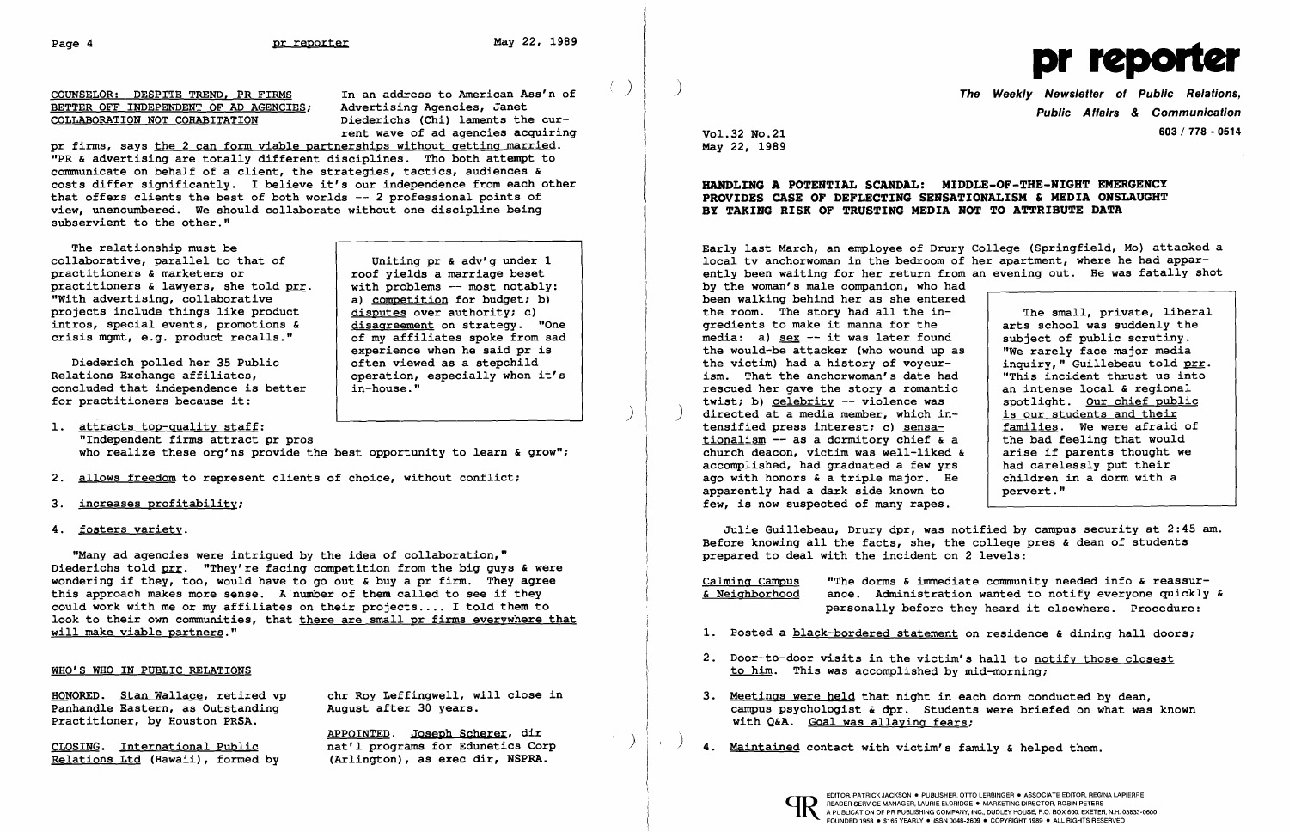## BETTER OFF INDEPENDENT OF AD AGENCIES; COLLABORATION NOT COHABITATION Diederichs (Chi) laments the cur-

COUNSELOR: DESPITE TREND, PR FIRMS In an address to American Ass'n of BETTER OFF INDEPENDENT OF AD AGENCIES; Advertising Agencies, Janet rent wave of ad agencies acquiring

roof yields a marriage beset<br>with problems -- most notably:

experience when he said pr is<br>often viewed as a stepchild

operation, especially when it's<br>in-house."

pr firms, says the 2 can form viable partnerships without getting married. "PR & advertising are totally different disciplines. Tho both attempt to communicate on behalf of a client, the strategies, tactics, audiences & costs differ significantly. I believe it's our independence from each other that offers clients the best of both worlds -- 2 professional points of view, unencumbered. We should collaborate without one discipline being subservient to the other."

The relationship must be collaborative, parallel to that of Uniting pr & adv'g under 1<br>practitioners & marketers or solution of vields a marriage beset practitioners & lawyers, she told  $prr$ . with problems -- most notably:<br>"With advertising, collaborative  $\begin{array}{|l|} a \text{)} \text{ completion for budget; b} \end{array}$ "With advertising, collaborative (a) competition for budget; b)<br>projects include things like product (disputes over authority; c) projects include things like product  $\frac{d$  is disputes over authority; c) intros, special events, promotions & disagreement on strategy. "One intros, special events, promotions  $\kappa$  disagreement on strategy. "One crisis mgmt, e.g. product recalls." <br>of my affiliates spoke from sad crisis mgmt, e.g. product recalls."

Diederich polled her 35 Public<br>Relations Exchange affiliates, concluded that independence is better for practitioners because it:

1. attracts top-quality staff: "Independent firms attract pr pros who realize these org'ns provide the best opportunity to learn & grow";

- 2. allows freedom to represent clients of choice, without conflict;
- 3. increases profitability;
- 4. fosters variety.

HONORED. Stan Wallace, retired vp chr Roy Leffingwell, will close in Panhandle Eastern, as Outstanding august after 30 years. Panhandle Eastern, as Outstanding Practitioner, by Houston PRSA.

APPOINTED. Joseph Scherer, dir CLOSING. International Public nat'l programs for Edunetics Corp<br>Relations Ltd (Hawaii), formed by (Arlington), as exec dir, NSPRA.

Relations Ltd (Hawaii), formed by

( ) ) The Weekly Newsletter of Public Relations, Public Affairs & Communication Vol. 32 No. 21 603 / 778 - 0514

"Many ad agencies were intrigued by the idea of collaboration," Diederichs told prr. "They're facing competition from the big guys & were wondering if they, too, would have to go out  $\epsilon$  buy a pr firm. They agree this approach makes more sense. A number of them called to see if they could work with me or my affiliates on their projects.... I told them to look to their own communities, that there are small pr firms everywhere that will make viable partners."

## WHO'S WHO IN PUBLIC RELATIONS



May 22, 1989

## HANDLING A POTENTIAL SCANDAL: MIDDLE-OF-THE-NIGHT EMERGENCY PROVIDES CASE OF DEFLECTING SENSATIONALISM & MEDIA ONSLAUGHT BY TAKING RISK OF TRUSTING MEDIA NOT TO ATTRIBUTE DATA

Early last March, an employee of Drury local tv anchorwoman in the bedroom of ently been waiting for her return from by the woman's male companion, who had been walking behind her as she entered the room. The story had all the in gredients to make it manna for the media: a)  $sex$  -- it was later found the would-be attacker (who wound up as the victim) had a history of voyeurism. That the anchorwoman's date had rescued her gave the story a romantic twist; b) celebrity  $-$  violence was directed at a media member, which intensified press interest; c) sensationalism  $-$  as a dormitory chief & a church deacon, victim was well-liked accomplished, had graduated a few yrs ago with honors  $\epsilon$  a triple major. He apparently had a dark side known to few, is now suspected of many rapes.

| had | ury College (Springfield, Mo) attacked a<br>of her apartment, where he had appar-<br>rom an evening out. He was fatally shot |
|-----|------------------------------------------------------------------------------------------------------------------------------|
| red |                                                                                                                              |
|     | The small, private, liberal                                                                                                  |
|     | arts school was suddenly the                                                                                                 |
| d   | subject of public scrutiny.                                                                                                  |
| as  | "We rarely face major media                                                                                                  |
|     | inquiry, " Guillebeau told prr.                                                                                              |
| ad  | "This incident thrust us into                                                                                                |
| ic  | an intense local & regional                                                                                                  |
|     | spotlight. Our chief public                                                                                                  |
| n-  | is our students and their                                                                                                    |
|     | families. We were afraid of                                                                                                  |
| a   | the bad feeling that would                                                                                                   |
| dδ  | arise if parents thought we                                                                                                  |
| rs. | had carelessly put their                                                                                                     |
| Hе  | children in a dorm with a                                                                                                    |
|     | pervert."                                                                                                                    |

)

Julie Guillebeau, Drury dpr, was notified by campus security at 2:45 am. Before knowing all the facts, she, the college pres & dean of students prepared to deal with the incident on 2 levels:

Calming Campus "The dorms & immediate community needed info & reassur & Neighborhood ance. Administration wanted to notify everyone quickly & personally before they heard it elsewhere. Procedure:

- 1. Posted a black-bordered statement on residence & dining hall doors;
- 2. Door-to-door visits in the victim's hall to notify those closest to him. This was accomplished by mid-morning;
- 3. Meetings were held that night in each dorm conducted by dean, with Q&A. Goal was allaying fears;
- 4. Maintained contact with victim's family & helped them.



campus psychologist & dpr. Students were briefed on what was known